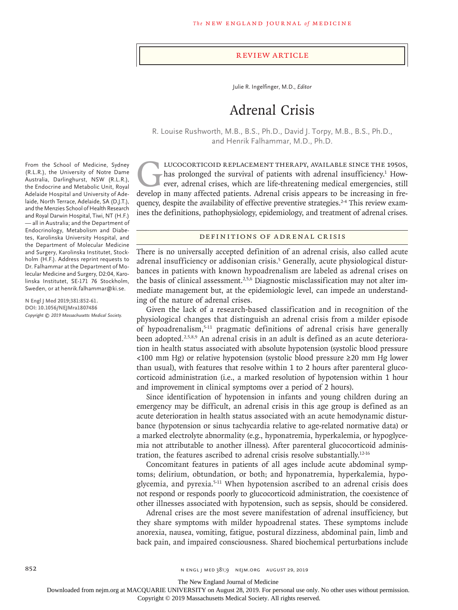#### Review Article

Julie R. Ingelfinger, M.D., *Editor*

# Adrenal Crisis

R. Louise Rushworth, M.B., B.S., Ph.D., David J. Torpy, M.B., B.S., Ph.D., and Henrik Falhammar, M.D., Ph.D.

LUCOCORTICOID REPLACEMENT THERAPY, AVAILABLE SINCE THE 1950S, has prolonged the survival of patients with adrenal insufficiency.<sup>1</sup> However, adrenal crises, which are life-threatening medical emergencies, still develop in has prolonged the survival of patients with adrenal insufficiency.<sup>1</sup> However, adrenal crises, which are life-threatening medical emergencies, still develop in many affected patients. Adrenal crisis appears to be increasing in frequency, despite the availability of effective preventive strategies.<sup>2-4</sup> This review examines the definitions, pathophysiology, epidemiology, and treatment of adrenal crises.

## Definitions of Adrenal Crisis

There is no universally accepted definition of an adrenal crisis, also called acute adrenal insufficiency or addisonian crisis.<sup>5</sup> Generally, acute physiological disturbances in patients with known hypoadrenalism are labeled as adrenal crises on the basis of clinical assessment.<sup>2,5,6</sup> Diagnostic misclassification may not alter immediate management but, at the epidemiologic level, can impede an understanding of the nature of adrenal crises.

Given the lack of a research-based classification and in recognition of the physiological changes that distinguish an adrenal crisis from a milder episode of hypoadrenalism,5-11 pragmatic definitions of adrenal crisis have generally been adopted.<sup>2,5,8,9</sup> An adrenal crisis in an adult is defined as an acute deterioration in health status associated with absolute hypotension (systolic blood pressure <100 mm Hg) or relative hypotension (systolic blood pressure ≥20 mm Hg lower than usual), with features that resolve within 1 to 2 hours after parenteral glucocorticoid administration (i.e., a marked resolution of hypotension within 1 hour and improvement in clinical symptoms over a period of 2 hours).

Since identification of hypotension in infants and young children during an emergency may be difficult, an adrenal crisis in this age group is defined as an acute deterioration in health status associated with an acute hemodynamic disturbance (hypotension or sinus tachycardia relative to age-related normative data) or a marked electrolyte abnormality (e.g., hyponatremia, hyperkalemia, or hypoglycemia not attributable to another illness). After parenteral glucocorticoid administration, the features ascribed to adrenal crisis resolve substantially.12-16

Concomitant features in patients of all ages include acute abdominal symptoms; delirium, obtundation, or both; and hyponatremia, hyperkalemia, hypoglycemia, and pyrexia.5-11 When hypotension ascribed to an adrenal crisis does not respond or responds poorly to glucocorticoid administration, the coexistence of other illnesses associated with hypotension, such as sepsis, should be considered.

Adrenal crises are the most severe manifestation of adrenal insufficiency, but they share symptoms with milder hypoadrenal states. These symptoms include anorexia, nausea, vomiting, fatigue, postural dizziness, abdominal pain, limb and back pain, and impaired consciousness. Shared biochemical perturbations include

From the School of Medicine, Sydney (R.L.R.), the University of Notre Dame Australia, Darlinghurst, NSW (R.L.R.), the Endocrine and Metabolic Unit, Royal Adelaide Hospital and University of Adelaide, North Terrace, Adelaide, SA (D.J.T.), and the Menzies School of Health Research and Royal Darwin Hospital, Tiwi, NT (H.F.) — all in Australia; and the Department of Endocrinology, Metabolism and Diabetes, Karolinska University Hospital, and the Department of Molecular Medicine and Surgery, Karolinska Institutet, Stockholm (H.F.). Address reprint requests to Dr. Falhammar at the Department of Molecular Medicine and Surgery, D2:04, Karolinska Institutet, SE-171 76 Stockholm, Sweden, or at henrik.falhammar@ki.se.

**N Engl J Med 2019;381:852-61. DOI: 10.1056/NEJMra1807486** *Copyright © 2019 Massachusetts Medical Society.*

The New England Journal of Medicine

Downloaded from nejm.org at MACQUARIE UNIVERSITY on August 28, 2019. For personal use only. No other uses without permission.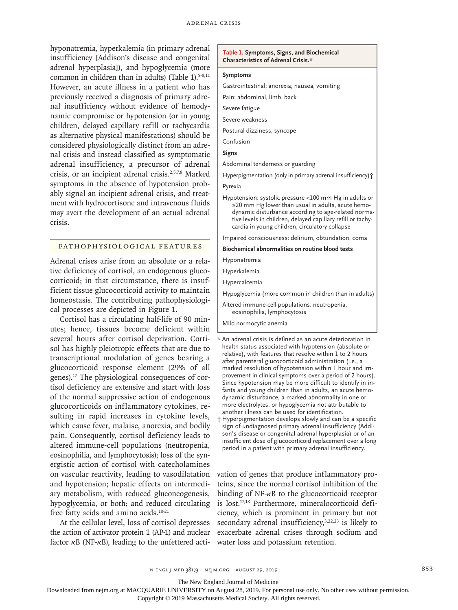hyponatremia, hyperkalemia (in primary adrenal insufficiency [Addison's disease and congenital adrenal hyperplasia]), and hypoglycemia (more common in children than in adults) (Table  $1$ ).<sup>5-8,11</sup> However, an acute illness in a patient who has previously received a diagnosis of primary adrenal insufficiency without evidence of hemodynamic compromise or hypotension (or in young children, delayed capillary refill or tachycardia as alternative physical manifestations) should be considered physiologically distinct from an adrenal crisis and instead classified as symptomatic adrenal insufficiency, a precursor of adrenal crisis, or an incipient adrenal crisis.2,5,7,8 Marked symptoms in the absence of hypotension probably signal an incipient adrenal crisis, and treatment with hydrocortisone and intravenous fluids may avert the development of an actual adrenal crisis.

## Pathophysiological Features

Adrenal crises arise from an absolute or a relative deficiency of cortisol, an endogenous glucocorticoid; in that circumstance, there is insufficient tissue glucocorticoid activity to maintain homeostasis. The contributing pathophysiological processes are depicted in Figure 1.

Cortisol has a circulating half-life of 90 minutes; hence, tissues become deficient within several hours after cortisol deprivation. Cortisol has highly pleiotropic effects that are due to transcriptional modulation of genes bearing a glucocorticoid response element (29% of all genes).17 The physiological consequences of cortisol deficiency are extensive and start with loss of the normal suppressive action of endogenous glucocorticoids on inflammatory cytokines, resulting in rapid increases in cytokine levels, which cause fever, malaise, anorexia, and bodily pain. Consequently, cortisol deficiency leads to altered immune-cell populations (neutropenia, eosinophilia, and lymphocytosis); loss of the synergistic action of cortisol with catecholamines on vascular reactivity, leading to vasodilatation and hypotension; hepatic effects on intermediary metabolism, with reduced gluconeogenesis, hypoglycemia, or both; and reduced circulating free fatty acids and amino acids.<sup>18-21</sup>

At the cellular level, loss of cortisol depresses the action of activator protein 1 (AP-1) and nuclear factor  $\kappa$ B (NF- $\kappa$ B), leading to the unfettered acti-

### **Table 1. Symptoms, Signs, and Biochemical Characteristics of Adrenal Crisis.\***

#### **Symptoms**

Gastrointestinal: anorexia, nausea, vomiting

Pain: abdominal, limb, back Severe fatigue

Severe weakness

Postural dizziness, syncope

Confusion

**Signs**

Abdominal tenderness or guarding

Hyperpigmentation (only in primary adrenal insufficiency)<sup>+</sup>

Pyrexia

Hypotension: systolic pressure <100 mm Hg in adults or ≥20 mm Hg lower than usual in adults, acute hemodynamic disturbance according to age-related normative levels in children, delayed capillary refill or tachycardia in young children, circulatory collapse

Impaired consciousness: delirium, obtundation, coma

**Biochemical abnormalities on routine blood tests**

Hyponatremia

Hyperkalemia

Hypercalcemia

Hypoglycemia (more common in children than in adults)

Altered immune-cell populations: neutropenia, eosinophilia, lymphocytosis

Mild normocytic anemia

\* An adrenal crisis is defined as an acute deterioration in health status associated with hypotension (absolute or relative), with features that resolve within  $1$  to 2 hours after parenteral glucocorticoid administration (i.e., a marked resolution of hypotension within 1 hour and improvement in clinical symptoms over a period of 2 hours). Since hypotension may be more difficult to identify in infants and young children than in adults, an acute hemodynamic disturbance, a marked abnormality in one or more electrolytes, or hypoglycemia not attributable to another illness can be used for identification.

† Hyperpigmentation develops slowly and can be a specific sign of undiagnosed primary adrenal insufficiency (Addison's disease or congenital adrenal hyperplasia) or of an insufficient dose of glucocorticoid replacement over a long period in a patient with primary adrenal insufficiency.

vation of genes that produce inflammatory proteins, since the normal cortisol inhibition of the binding of NF-κB to the glucocorticoid receptor is lost.17,18 Furthermore, mineralocorticoid deficiency, which is prominent in primary but not secondary adrenal insufficiency,<sup>3,22,23</sup> is likely to exacerbate adrenal crises through sodium and water loss and potassium retention.

The New England Journal of Medicine

Downloaded from nejm.org at MACQUARIE UNIVERSITY on August 28, 2019. For personal use only. No other uses without permission.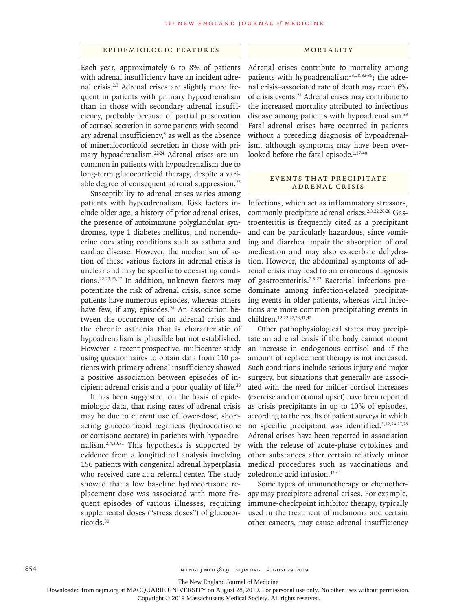## Epidemiologic Features

Each year, approximately 6 to 8% of patients with adrenal insufficiency have an incident adrenal crisis.2,3 Adrenal crises are slightly more frequent in patients with primary hypoadrenalism than in those with secondary adrenal insufficiency, probably because of partial preservation of cortisol secretion in some patients with secondary adrenal insufficiency,<sup>3</sup> as well as the absence of mineralocorticoid secretion in those with primary hypoadrenalism.<sup>22-24</sup> Adrenal crises are uncommon in patients with hypoadrenalism due to long-term glucocorticoid therapy, despite a variable degree of consequent adrenal suppression.25

Susceptibility to adrenal crises varies among patients with hypoadrenalism. Risk factors include older age, a history of prior adrenal crises, the presence of autoimmune polyglandular syndromes, type 1 diabetes mellitus, and nonendocrine coexisting conditions such as asthma and cardiac disease. However, the mechanism of action of these various factors in adrenal crisis is unclear and may be specific to coexisting conditions.22,23,26,27 In addition, unknown factors may potentiate the risk of adrenal crisis, since some patients have numerous episodes, whereas others have few, if any, episodes.<sup>28</sup> An association between the occurrence of an adrenal crisis and the chronic asthenia that is characteristic of hypoadrenalism is plausible but not established. However, a recent prospective, multicenter study using questionnaires to obtain data from 110 patients with primary adrenal insufficiency showed a positive association between episodes of incipient adrenal crisis and a poor quality of life.29

It has been suggested, on the basis of epidemiologic data, that rising rates of adrenal crisis may be due to current use of lower-dose, shortacting glucocorticoid regimens (hydrocortisone or cortisone acetate) in patients with hypoadrenalism.2,4,30,31 This hypothesis is supported by evidence from a longitudinal analysis involving 156 patients with congenital adrenal hyperplasia who received care at a referral center. The study showed that a low baseline hydrocortisone replacement dose was associated with more frequent episodes of various illnesses, requiring supplemental doses ("stress doses") of glucocorticoids.<sup>30</sup>

#### **MORTALITY**

Adrenal crises contribute to mortality among patients with hypoadrenalism<sup>23,28,32-36</sup>; the adrenal crisis–associated rate of death may reach 6% of crisis events.28 Adrenal crises may contribute to the increased mortality attributed to infectious disease among patients with hypoadrenalism.<sup>33</sup> Fatal adrenal crises have occurred in patients without a preceding diagnosis of hypoadrenalism, although symptoms may have been overlooked before the fatal episode.<sup>1,37-40</sup>

## EVENTS THAT PRECIPITATE Adrenal Crisis

Infections, which act as inflammatory stressors, commonly precipitate adrenal crises.<sup>2,3,22,26-28</sup> Gastroenteritis is frequently cited as a precipitant and can be particularly hazardous, since vomiting and diarrhea impair the absorption of oral medication and may also exacerbate dehydration. However, the abdominal symptoms of adrenal crisis may lead to an erroneous diagnosis of gastroenteritis.2,5,22 Bacterial infections predominate among infection-related precipitating events in older patients, whereas viral infections are more common precipitating events in children.12,22,27,28,41,42

Other pathophysiological states may precipitate an adrenal crisis if the body cannot mount an increase in endogenous cortisol and if the amount of replacement therapy is not increased. Such conditions include serious injury and major surgery, but situations that generally are associated with the need for milder cortisol increases (exercise and emotional upset) have been reported as crisis precipitants in up to 10% of episodes, according to the results of patient surveys in which no specific precipitant was identified.3,22,24,27,28 Adrenal crises have been reported in association with the release of acute-phase cytokines and other substances after certain relatively minor medical procedures such as vaccinations and zoledronic acid infusion.43,44

Some types of immunotherapy or chemotherapy may precipitate adrenal crises. For example, immune-checkpoint inhibitor therapy, typically used in the treatment of melanoma and certain other cancers, may cause adrenal insufficiency

The New England Journal of Medicine

Downloaded from nejm.org at MACQUARIE UNIVERSITY on August 28, 2019. For personal use only. No other uses without permission.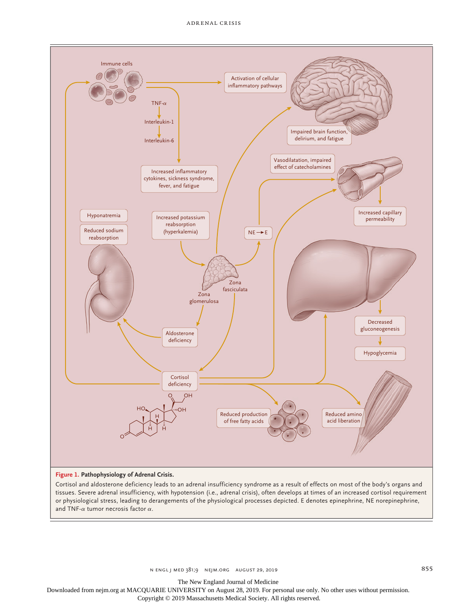

Cortisol and aldosterone deficiency leads to an adrenal insufficiency syndrome as a result of effects on most of the body's organs and tissues. Severe adrenal insufficiency, with hypotension (i.e., adrenal crisis), often develops at times of an increased cortisol requirement or physiological stress, leading to derangements of the physiological processes depicted. E denotes epinephrine, NE norepinephrine, and TNF- $\alpha$  tumor necrosis factor  $\alpha$ .

The New England Journal of Medicine

Downloaded from nejm.org at MACQUARIE UNIVERSITY on August 28, 2019. For personal use only. No other uses without permission.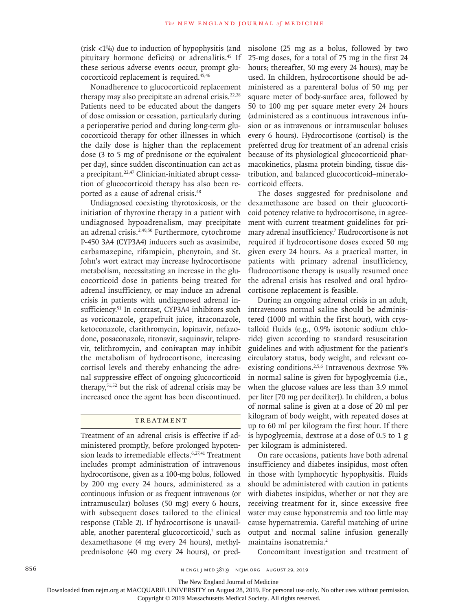$(risk < 1\%)$  due to induction of hypophysitis (and pituitary hormone deficits) or adrenalitis.45 If these serious adverse events occur, prompt glucocorticoid replacement is required.45,46

Nonadherence to glucocorticoid replacement therapy may also precipitate an adrenal crisis. $22,28$ Patients need to be educated about the dangers of dose omission or cessation, particularly during a perioperative period and during long-term glucocorticoid therapy for other illnesses in which the daily dose is higher than the replacement dose (3 to 5 mg of prednisone or the equivalent per day), since sudden discontinuation can act as a precipitant.<sup>22,47</sup> Clinician-initiated abrupt cessation of glucocorticoid therapy has also been reported as a cause of adrenal crisis.48

Undiagnosed coexisting thyrotoxicosis, or the initiation of thyroxine therapy in a patient with undiagnosed hypoadrenalism, may precipitate an adrenal crisis.2,49,50 Furthermore, cytochrome P-450 3A4 (CYP3A4) inducers such as avasimibe, carbamazepine, rifampicin, phenytoin, and St. John's wort extract may increase hydrocortisone metabolism, necessitating an increase in the glucocorticoid dose in patients being treated for adrenal insufficiency, or may induce an adrenal crisis in patients with undiagnosed adrenal insufficiency.<sup>51</sup> In contrast, CYP3A4 inhibitors such as voriconazole, grapefruit juice, itraconazole, ketoconazole, clarithromycin, lopinavir, nefazodone, posaconazole, ritonavir, saquinavir, telaprevir, telithromycin, and conivaptan may inhibit the metabolism of hydrocortisone, increasing cortisol levels and thereby enhancing the adrenal suppressive effect of ongoing glucocorticoid therapy,51,52 but the risk of adrenal crisis may be increased once the agent has been discontinued.

## **TREATMENT**

Treatment of an adrenal crisis is effective if administered promptly, before prolonged hypotension leads to irremediable effects.<sup>6,27,41</sup> Treatment includes prompt administration of intravenous hydrocortisone, given as a 100-mg bolus, followed by 200 mg every 24 hours, administered as a continuous infusion or as frequent intravenous (or intramuscular) boluses (50 mg) every 6 hours, with subsequent doses tailored to the clinical response (Table 2). If hydrocortisone is unavailable, another parenteral glucocorticoid, $\frac{7}{7}$  such as dexamethasone (4 mg every 24 hours), methylprednisolone (40 mg every 24 hours), or prednisolone (25 mg as a bolus, followed by two 25-mg doses, for a total of 75 mg in the first 24 hours; thereafter, 50 mg every 24 hours), may be used. In children, hydrocortisone should be administered as a parenteral bolus of 50 mg per square meter of body-surface area, followed by 50 to 100 mg per square meter every 24 hours (administered as a continuous intravenous infusion or as intravenous or intramuscular boluses every 6 hours). Hydrocortisone (cortisol) is the preferred drug for treatment of an adrenal crisis because of its physiological glucocorticoid pharmacokinetics, plasma protein binding, tissue distribution, and balanced glucocorticoid–mineralocorticoid effects.

The doses suggested for prednisolone and dexamethasone are based on their glucocorticoid potency relative to hydrocortisone, in agreement with current treatment guidelines for primary adrenal insufficiency.7 Fludrocortisone is not required if hydrocortisone doses exceed 50 mg given every 24 hours. As a practical matter, in patients with primary adrenal insufficiency, fludrocortisone therapy is usually resumed once the adrenal crisis has resolved and oral hydrocortisone replacement is feasible.

During an ongoing adrenal crisis in an adult, intravenous normal saline should be administered (1000 ml within the first hour), with crystalloid fluids (e.g., 0.9% isotonic sodium chloride) given according to standard resuscitation guidelines and with adjustment for the patient's circulatory status, body weight, and relevant coexisting conditions.<sup>2,5,6</sup> Intravenous dextrose 5% in normal saline is given for hypoglycemia (i.e., when the glucose values are less than 3.9 mmol per liter [70 mg per deciliter]). In children, a bolus of normal saline is given at a dose of 20 ml per kilogram of body weight, with repeated doses at up to 60 ml per kilogram the first hour. If there is hypoglycemia, dextrose at a dose of 0.5 to 1 g per kilogram is administered.

On rare occasions, patients have both adrenal insufficiency and diabetes insipidus, most often in those with lymphocytic hypophysitis. Fluids should be administered with caution in patients with diabetes insipidus, whether or not they are receiving treatment for it, since excessive free water may cause hyponatremia and too little may cause hypernatremia. Careful matching of urine output and normal saline infusion generally maintains isonatremia.<sup>2</sup>

Concomitant investigation and treatment of

The New England Journal of Medicine

Downloaded from nejm.org at MACQUARIE UNIVERSITY on August 28, 2019. For personal use only. No other uses without permission.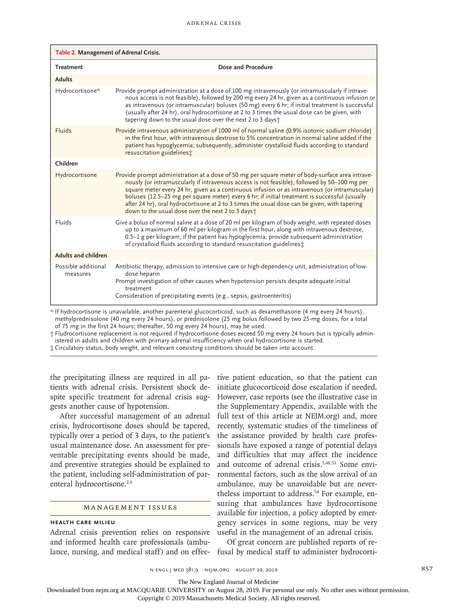#### Adrenal Crisis

| Table 2. Management of Adrenal Crisis. |                                                                                                                                                                                                                                                                                                                                                                                                                                                                                                                                                         |
|----------------------------------------|---------------------------------------------------------------------------------------------------------------------------------------------------------------------------------------------------------------------------------------------------------------------------------------------------------------------------------------------------------------------------------------------------------------------------------------------------------------------------------------------------------------------------------------------------------|
| <b>Treatment</b>                       | Dose and Procedure                                                                                                                                                                                                                                                                                                                                                                                                                                                                                                                                      |
| <b>Adults</b>                          |                                                                                                                                                                                                                                                                                                                                                                                                                                                                                                                                                         |
| Hydrocortisone*                        | Provide prompt administration at a dose of 100 mg intravenously (or intramuscularly if intrave-<br>nous access is not feasible), followed by 200 mg every 24 hr, given as a continuous infusion or<br>as intravenous (or intramuscular) boluses (50 mg) every 6 hr; if initial treatment is successful<br>(usually after 24 hr), oral hydrocortisone at 2 to 3 times the usual dose can be given, with<br>tapering down to the usual dose over the next 2 to 3 days;                                                                                    |
| Fluids                                 | Provide intravenous administration of 1000 ml of normal saline (0.9% isotonic sodium chloride)<br>in the first hour, with intravenous dextrose to 5% concentration in normal saline added if the<br>patient has hypoglycemia; subsequently, administer crystalloid fluids according to standard<br>resuscitation guidelines:                                                                                                                                                                                                                            |
| Children                               |                                                                                                                                                                                                                                                                                                                                                                                                                                                                                                                                                         |
| Hydrocortisone                         | Provide prompt administration at a dose of 50 mg per square meter of body-surface area intrave-<br>nously (or intramuscularly if intravenous access is not feasible), followed by 50–100 mg per<br>square meter every 24 hr, given as a continuous infusion or as intravenous (or intramuscular)<br>boluses (12.5-25 mg per square meter) every 6 hr; if initial treatment is successful (usually<br>after 24 hr), oral hydrocortisone at 2 to 3 times the usual dose can be given, with tapering<br>down to the usual dose over the next 2 to 3 days t |
| Fluids                                 | Give a bolus of normal saline at a dose of 20 ml per kilogram of body weight, with repeated doses<br>up to a maximum of 60 ml per kilogram in the first hour, along with intravenous dextrose,<br>0.5–1 g per kilogram, if the patient has hypoglycemia; provide subsequent administration<br>of crystalloid fluids according to standard resuscitation guidelines;                                                                                                                                                                                     |
| <b>Adults and children</b>             |                                                                                                                                                                                                                                                                                                                                                                                                                                                                                                                                                         |
| Possible additional<br>measures        | Antibiotic therapy, admission to intensive care or high-dependency unit, administration of low-<br>dose heparin<br>Prompt investigation of other causes when hypotension persists despite adequate initial<br>treatment<br>Consideration of precipitating events (e.g., sepsis, gastroenteritis)                                                                                                                                                                                                                                                        |

\* If hydrocortisone is unavailable, another parenteral glucocorticoid, such as dexamethasone (4 mg every 24 hours), methylprednisolone (40 mg every 24 hours), or prednisolone (25 mg bolus followed by two 25-mg doses, for a total of 75 mg in the first 24 hours; thereafter, 50 mg every 24 hours), may be used.

† Fludrocortisone replacement is not required if hydrocortisone doses exceed 50 mg every 24 hours but is typically administered in adults and children with primary adrenal insufficiency when oral hydrocortisone is started. ‡ Circulatory status, body weight, and relevant coexisting conditions should be taken into account.

the precipitating illness are required in all patients with adrenal crisis. Persistent shock despite specific treatment for adrenal crisis suggests another cause of hypotension.

After successful management of an adrenal crisis, hydrocortisone doses should be tapered, typically over a period of 3 days, to the patient's usual maintenance dose. An assessment for preventable precipitating events should be made, and preventive strategies should be explained to the patient, including self-administration of parenteral hydrocortisone.<sup>2,6</sup>

## Management Issues

## **Health Care Milieu**

Adrenal crisis prevention relies on responsive and informed health care professionals (ambulance, nursing, and medical staff) and on effective patient education, so that the patient can initiate glucocorticoid dose escalation if needed. However, case reports (see the illustrative case in the Supplementary Appendix, available with the full text of this article at NEJM.org) and, more recently, systematic studies of the timeliness of the assistance provided by health care professionals have exposed a range of potential delays and difficulties that may affect the incidence and outcome of adrenal crisis.<sup>5,48,53</sup> Some environmental factors, such as the slow arrival of an ambulance, may be unavoidable but are nevertheless important to address.<sup>54</sup> For example, ensuring that ambulances have hydrocortisone available for injection, a policy adopted by emergency services in some regions, may be very useful in the management of an adrenal crisis.

Of great concern are published reports of refusal by medical staff to administer hydrocorti-

n engl j med 381;9 nejm.org August 29, 2019 857

The New England Journal of Medicine

Downloaded from nejm.org at MACQUARIE UNIVERSITY on August 28, 2019. For personal use only. No other uses without permission.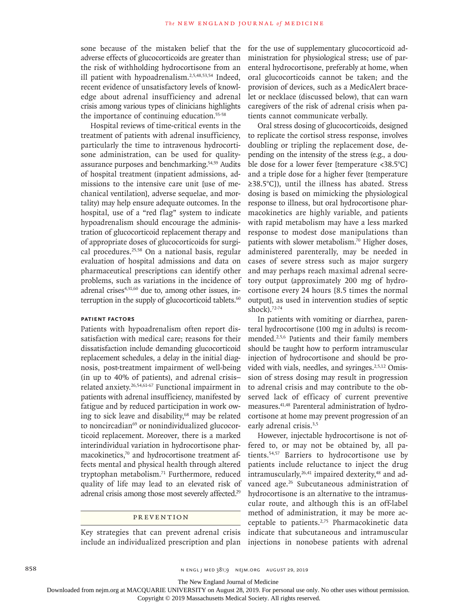sone because of the mistaken belief that the adverse effects of glucocorticoids are greater than the risk of withholding hydrocortisone from an ill patient with hypoadrenalism.2,5,48,53,54 Indeed, recent evidence of unsatisfactory levels of knowledge about adrenal insufficiency and adrenal crisis among various types of clinicians highlights the importance of continuing education.55-58

Hospital reviews of time-critical events in the treatment of patients with adrenal insufficiency, particularly the time to intravenous hydrocortisone administration, can be used for qualityassurance purposes and benchmarking.54,59 Audits of hospital treatment (inpatient admissions, admissions to the intensive care unit [use of mechanical ventilation], adverse sequelae, and mortality) may help ensure adequate outcomes. In the hospital, use of a "red flag" system to indicate hypoadrenalism should encourage the administration of glucocorticoid replacement therapy and of appropriate doses of glucocorticoids for surgical procedures.25,58 On a national basis, regular evaluation of hospital admissions and data on pharmaceutical prescriptions can identify other problems, such as variations in the incidence of adrenal crises<sup>4,31,60</sup> due to, among other issues, interruption in the supply of glucocorticoid tablets.<sup>60</sup>

## **Patient Factors**

Patients with hypoadrenalism often report dissatisfaction with medical care; reasons for their dissatisfaction include demanding glucocorticoid replacement schedules, a delay in the initial diagnosis, post-treatment impairment of well-being (in up to 40% of patients), and adrenal crisis– related anxiety.26,54,61-67 Functional impairment in patients with adrenal insufficiency, manifested by fatigue and by reduced participation in work owing to sick leave and disability, $68$  may be related to noncircadian<sup>69</sup> or nonindividualized glucocorticoid replacement. Moreover, there is a marked interindividual variation in hydrocortisone pharmacokinetics,<sup>70</sup> and hydrocortisone treatment affects mental and physical health through altered tryptophan metabolism.71 Furthermore, reduced quality of life may lead to an elevated risk of adrenal crisis among those most severely affected.<sup>29</sup>

#### **PREVENTION**

Key strategies that can prevent adrenal crisis include an individualized prescription and plan for the use of supplementary glucocorticoid administration for physiological stress; use of parenteral hydrocortisone, preferably at home, when oral glucocorticoids cannot be taken; and the provision of devices, such as a MedicAlert bracelet or necklace (discussed below), that can warn caregivers of the risk of adrenal crisis when patients cannot communicate verbally.

Oral stress dosing of glucocorticoids, designed to replicate the cortisol stress response, involves doubling or tripling the replacement dose, depending on the intensity of the stress (e.g., a double dose for a lower fever [temperature <38.5°C] and a triple dose for a higher fever [temperature ≥38.5°C]), until the illness has abated. Stress dosing is based on mimicking the physiological response to illness, but oral hydrocortisone pharmacokinetics are highly variable, and patients with rapid metabolism may have a less marked response to modest dose manipulations than patients with slower metabolism.<sup>70</sup> Higher doses, administered parenterally, may be needed in cases of severe stress such as major surgery and may perhaps reach maximal adrenal secretory output (approximately 200 mg of hydrocortisone every 24 hours [8.5 times the normal output], as used in intervention studies of septic shock).72-74

In patients with vomiting or diarrhea, parenteral hydrocortisone (100 mg in adults) is recommended.2,5,6 Patients and their family members should be taught how to perform intramuscular injection of hydrocortisone and should be provided with vials, needles, and syringes.<sup>2,5,12</sup> Omission of stress dosing may result in progression to adrenal crisis and may contribute to the observed lack of efficacy of current preventive measures.41,48 Parenteral administration of hydrocortisone at home may prevent progression of an early adrenal crisis.<sup>3,5</sup>

However, injectable hydrocortisone is not offered to, or may not be obtained by, all patients.54,57 Barriers to hydrocortisone use by patients include reluctance to inject the drug intramuscularly, $26,41$  impaired dexterity, $48$  and advanced age.<sup>26</sup> Subcutaneous administration of hydrocortisone is an alternative to the intramuscular route, and although this is an off-label method of administration, it may be more acceptable to patients.2,75 Pharmacokinetic data indicate that subcutaneous and intramuscular injections in nonobese patients with adrenal

858 **858** n engl j med 381;9 nejm.org August 29, 2019

The New England Journal of Medicine

Downloaded from nejm.org at MACQUARIE UNIVERSITY on August 28, 2019. For personal use only. No other uses without permission.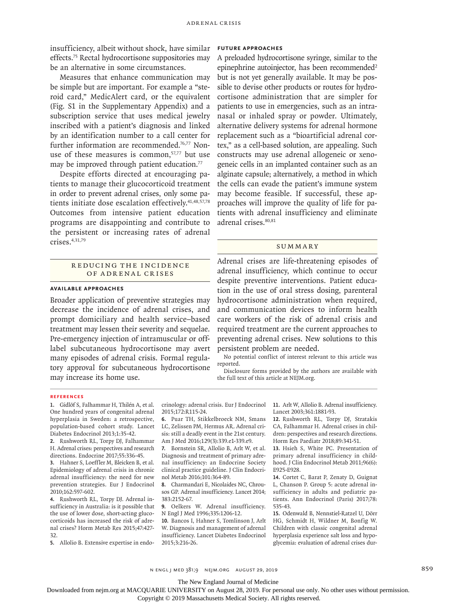insufficiency, albeit without shock, have similar effects.75 Rectal hydrocortisone suppositories may be an alternative in some circumstances.

Measures that enhance communication may be simple but are important. For example a "steroid card," MedicAlert card, or the equivalent (Fig. S1 in the Supplementary Appendix) and a subscription service that uses medical jewelry inscribed with a patient's diagnosis and linked by an identification number to a call center for further information are recommended.<sup>76,77</sup> Nonuse of these measures is common,<sup>57,77</sup> but use may be improved through patient education.<sup>77</sup>

Despite efforts directed at encouraging patients to manage their glucocorticoid treatment in order to prevent adrenal crises, only some patients initiate dose escalation effectively.<sup>41,48,57,78</sup> Outcomes from intensive patient education programs are disappointing and contribute to the persistent or increasing rates of adrenal crises.4,31,79

#### R educing the Incidence of Adrenal Crises

#### **Available Approaches**

Broader application of preventive strategies may decrease the incidence of adrenal crises, and prompt domiciliary and health service–based treatment may lessen their severity and sequelae. Pre-emergency injection of intramuscular or offlabel subcutaneous hydrocortisone may avert many episodes of adrenal crisis. Formal regulatory approval for subcutaneous hydrocortisone may increase its home use.

### **Future Approaches**

A preloaded hydrocortisone syringe, similar to the epinephrine autoinjector, has been recommended<sup>2</sup> but is not yet generally available. It may be possible to devise other products or routes for hydrocortisone administration that are simpler for patients to use in emergencies, such as an intranasal or inhaled spray or powder. Ultimately, alternative delivery systems for adrenal hormone replacement such as a "bioartificial adrenal cortex," as a cell-based solution, are appealing. Such constructs may use adrenal allogeneic or xenogeneic cells in an implanted container such as an alginate capsule; alternatively, a method in which the cells can evade the patient's immune system may become feasible. If successful, these approaches will improve the quality of life for patients with adrenal insufficiency and eliminate adrenal crises.<sup>80,81</sup>

#### **SUMMARY**

Adrenal crises are life-threatening episodes of adrenal insufficiency, which continue to occur despite preventive interventions. Patient education in the use of oral stress dosing, parenteral hydrocortisone administration when required, and communication devices to inform health care workers of the risk of adrenal crisis and required treatment are the current approaches to preventing adrenal crises. New solutions to this persistent problem are needed.

No potential conflict of interest relevant to this article was reported.

Disclosure forms provided by the authors are available with the full text of this article at NEJM.org.

#### **References**

**1.** Gidlöf S, Falhammar H, Thilén A, et al. One hundred years of congenital adrenal hyperplasia in Sweden: a retrospective, population-based cohort study. Lancet Diabetes Endocrinol 2013;1:35-42.

**2.** Rushworth RL, Torpy DJ, Falhammar H. Adrenal crises: perspectives and research directions. Endocrine 2017;55:336-45.

**3.** Hahner S, Loeffler M, Bleicken B, et al. Epidemiology of adrenal crisis in chronic adrenal insufficiency: the need for new prevention strategies. Eur J Endocrinol 2010;162:597-602.

**4.** Rushworth RL, Torpy DJ. Adrenal insufficiency in Australia: is it possible that the use of lower dose, short-acting glucocorticoids has increased the risk of adrenal crises? Horm Metab Res 2015;47:427- 32.

**5.** Allolio B. Extensive expertise in endo-

crinology: adrenal crisis. Eur J Endocrinol 2015;172:R115-24.

**6.** Puar TH, Stikkelbroeck NM, Smans LC, Zelissen PM, Hermus AR. Adrenal crisis: still a deadly event in the 21st century. Am J Med 2016;129(3):339.e1-339.e9.

**7.** Bornstein SR, Allolio B, Arlt W, et al. Diagnosis and treatment of primary adrenal insufficiency: an Endocrine Society clinical practice guideline. J Clin Endocrinol Metab 2016;101:364-89.

**8.** Charmandari E, Nicolaides NC, Chrousos GP. Adrenal insufficiency. Lancet 2014; 383:2152-67.

**9.** Oelkers W. Adrenal insufficiency. N Engl J Med 1996;335:1206-12.

**10.** Bancos I, Hahner S, Tomlinson J, Arlt W. Diagnosis and management of adrenal insufficiency. Lancet Diabetes Endocrinol 2015;3:216-26.

**11.** Arlt W, Allolio B. Adrenal insufficiency. Lancet 2003;361:1881-93.

**12.** Rushworth RL, Torpy DJ, Stratakis CA, Falhammar H. Adrenal crises in children: perspectives and research directions. Horm Res Paediatr 2018;89:341-51.

**13.** Hsieh S, White PC. Presentation of primary adrenal insufficiency in childhood. J Clin Endocrinol Metab 2011;96(6): E925-E928.

**14.** Cortet C, Barat P, Zenaty D, Guignat L, Chanson P. Group 5: acute adrenal insufficiency in adults and pediatric patients. Ann Endocrinol (Paris) 2017;78: 535-43.

**15.** Odenwald B, Nennstiel-Ratzel U, Dörr HG, Schmidt H, Wildner M, Bonfig W. Children with classic congenital adrenal hyperplasia experience salt loss and hypoglycemia: evaluation of adrenal crises dur-

n engl j med 381;9 nejm.org August 29, 2019 859

The New England Journal of Medicine

Downloaded from nejm.org at MACQUARIE UNIVERSITY on August 28, 2019. For personal use only. No other uses without permission.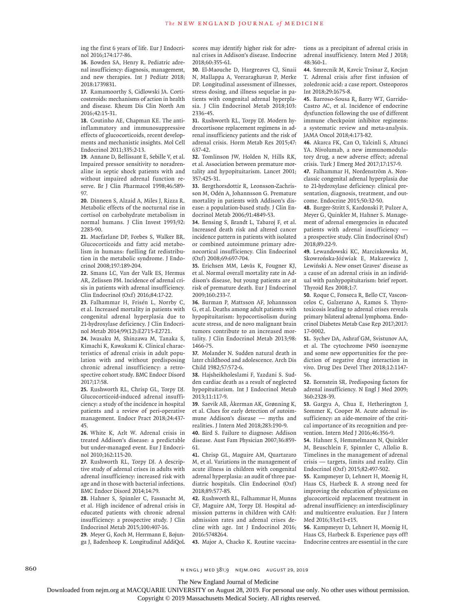ing the first 6 years of life. Eur J Endocrinol 2016;174:177-86.

**16.** Bowden SA, Henry R. Pediatric adrenal insufficiency: diagnosis, management, and new therapies. Int J Pediatr 2018; 2018:1739831.

**17.** Ramamoorthy S, Cidlowski JA. Corticosteroids: mechanisms of action in health and disease. Rheum Dis Clin North Am 2016;42:15-31.

**18.** Coutinho AE, Chapman KE. The antiinflammatory and immunosuppressive effects of glucocorticoids, recent developments and mechanistic insights. Mol Cell Endocrinol 2011;335:2-13.

**19.** Annane D, Bellissant E, Sebille V, et al. Impaired pressor sensitivity to noradrenaline in septic shock patients with and without impaired adrenal function reserve. Br J Clin Pharmacol 1998;46:589- 97.

**20.** Dinneen S, Alzaid A, Miles J, Rizza R. Metabolic effects of the nocturnal rise in cortisol on carbohydrate metabolism in normal humans. J Clin Invest 1993;92: 2283-90.

**21.** Macfarlane DP, Forbes S, Walker BR. Glucocorticoids and fatty acid metabolism in humans: fuelling fat redistribution in the metabolic syndrome. J Endocrinol 2008;197:189-204.

**22.** Smans LC, Van der Valk ES, Hermus AR, Zelissen PM. Incidence of adrenal crisis in patients with adrenal insufficiency. Clin Endocrinol (Oxf) 2016;84:17-22.

**23.** Falhammar H, Frisén L, Norrby C, et al. Increased mortality in patients with congenital adrenal hyperplasia due to 21-hydroxylase deficiency. J Clin Endocrinol Metab 2014;99(12):E2715-E2721.

**24.** Iwasaku M, Shinzawa M, Tanaka S, Kimachi K, Kawakami K. Clinical characteristics of adrenal crisis in adult population with and without predisposing chronic adrenal insufficiency: a retrospective cohort study. BMC Endocr Disord 2017;17:58.

**25.** Rushworth RL, Chrisp GL, Torpy DJ. Glucocorticoid-induced adrenal insufficiency: a study of the incidence in hospital patients and a review of peri-operative management. Endocr Pract 2018;24:437- 45.

**26.** White K, Arlt W. Adrenal crisis in treated Addison's disease: a predictable but under-managed event. Eur J Endocrinol 2010;162:115-20.

**27.** Rushworth RL, Torpy DJ. A descriptive study of adrenal crises in adults with adrenal insufficiency: increased risk with age and in those with bacterial infections. BMC Endocr Disord 2014;14:79.

**28.** Hahner S, Spinnler C, Fassnacht M, et al. High incidence of adrenal crisis in educated patients with chronic adrenal insufficiency: a prospective study. J Clin Endocrinol Metab 2015;100:407-16.

**29.** Meyer G, Koch M, Herrmann E, Bojunga J, Badenhoop K. Longitudinal AddiQoL scores may identify higher risk for adrenal crises in Addison's disease. Endocrine 2018;60:355-61.

**30.** El-Maouche D, Hargreaves CJ, Sinaii N, Mallappa A, Veeraraghavan P, Merke DP. Longitudinal assessment of illnesses, stress dosing, and illness sequelae in patients with congenital adrenal hyperplasia. J Clin Endocrinol Metab 2018;103: 2336-45.

**31.** Rushworth RL, Torpy DJ. Modern hydrocortisone replacement regimens in adrenal insufficiency patients and the risk of adrenal crisis. Horm Metab Res 2015;47: 637-42.

**32.** Tomlinson JW, Holden N, Hills RK, et al. Association between premature mortality and hypopituitarism. Lancet 2001; 357:425-31.

**33.** Bergthorsdottir R, Leonsson-Zachrisson M, Odén A, Johannsson G. Premature mortality in patients with Addison's disease: a population-based study. J Clin Endocrinol Metab 2006;91:4849-53.

**34.** Bensing S, Brandt L, Tabaroj F, et al. Increased death risk and altered cancer incidence pattern in patients with isolated or combined autoimmune primary adrenocortical insufficiency. Clin Endocrinol (Oxf) 2008;69:697-704.

**35.** Erichsen MM, Løvås K, Fougner KJ, et al. Normal overall mortality rate in Addison's disease, but young patients are at risk of premature death. Eur J Endocrinol 2009;160:233-7.

**36.** Burman P, Mattsson AF, Johannsson G, et al. Deaths among adult patients with hypopituitarism: hypocortisolism during acute stress, and de novo malignant brain tumors contribute to an increased mortality. J Clin Endocrinol Metab 2013;98: 1466-75.

**37.** Molander N. Sudden natural death in later childhood and adolescence. Arch Dis Child 1982;57:572-6.

**38.** Hajsheikholeslami F, Yazdani S. Sudden cardiac death as a result of neglected hypopituitarism. Int J Endocrinol Metab 2013;11:117-9.

**39.** Saevik AB, Åkerman AK, Grønning K, et al. Clues for early detection of autoimmune Addison's disease — myths and realities. J Intern Med 2018;283:190-9.

**40.** Bird S. Failure to diagnose: Addison disease. Aust Fam Physician 2007;36:859- 61.

**41.** Chrisp GL, Maguire AM, Quartararo M, et al. Variations in the management of acute illness in children with congenital adrenal hyperplasia: an audit of three paediatric hospitals. Clin Endocrinol (Oxf) 2018;89:577-85.

**42.** Rushworth RL, Falhammar H, Munns CF, Maguire AM, Torpy DJ. Hospital admission patterns in children with CAH: admission rates and adrenal crises decline with age. Int J Endocrinol 2016; 2016:5748264.

**43.** Major A, Chacko K. Routine vaccina-

tions as a precipitant of adrenal crisis in adrenal insufficiency. Intern Med J 2018; 48:360-1.

**44.** Smrecnik M, Kavcic Trsinar Z, Kocjan T. Adrenal crisis after first infusion of zoledronic acid: a case report. Osteoporos Int 2018;29:1675-8.

**45.** Barroso-Sousa R, Barry WT, Garrido-Castro AC, et al. Incidence of endocrine dysfunction following the use of different immune checkpoint inhibitor regimens: a systematic review and meta-analysis. JAMA Oncol 2018;4:173-82.

**46.** Akarca FK, Can O, Yalcinli S, Altunci YA. Nivolumab, a new immunomodulatory drug, a new adverse effect; adrenal crisis. Turk J Emerg Med 2017;17:157-9.

**47.** Falhammar H, Nordenström A. Nonclassic congenital adrenal hyperplasia due to 21-hydroxylase deficiency: clinical presentation, diagnosis, treatment, and outcome. Endocrine 2015;50:32-50.

**48.** Burger-Stritt S, Kardonski P, Pulzer A, Meyer G, Quinkler M, Hahner S. Management of adrenal emergencies in educated patients with adrenal insufficiency a prospective study. Clin Endocrinol (Oxf) 2018;89:22-9.

**49.** Lewandowski KC, Marcinkowska M, Skowrońska-Jóźwiak E, Makarewicz J, Lewiński A. New onset Graves' disease as a cause of an adrenal crisis in an individual with panhypopituitarism: brief report. Thyroid Res 2008;1:7.

**50.** Roque C, Fonseca R, Bello CT, Vasconcelos C, Galzerano A, Ramos S. Thyrotoxicosis leading to adrenal crises reveals primary bilateral adrenal lymphoma. Endocrinol Diabetes Metab Case Rep 2017;2017: 17-0002.

**51.** Sychev DA, Ashraf GM, Svistunov AA, et al. The cytochrome P450 isoenzyme and some new opportunities for the prediction of negative drug interaction in vivo. Drug Des Devel Ther 2018;12:1147- 56.

**52.** Bornstein SR. Predisposing factors for adrenal insufficiency. N Engl J Med 2009; 360:2328-39.

**53.** Gargya A, Chua E, Hetherington J, Sommer K, Cooper M. Acute adrenal insufficiency: an aide-memoire of the critical importance of its recognition and prevention. Intern Med J 2016;46:356-9.

**54.** Hahner S, Hemmelmann N, Quinkler M, Beuschlein F, Spinnler C, Allolio B. Timelines in the management of adrenal crisis — targets, limits and reality. Clin Endocrinol (Oxf) 2015;82:497-502.

**55.** Kampmeyer D, Lehnert H, Moenig H, Haas CS, Harbeck B. A strong need for improving the education of physicians on glucocorticoid replacement treatment in adrenal insufficiency: an interdisciplinary and multicentre evaluation. Eur J Intern Med 2016;33:e13-e15.

**56.** Kampmeyer D, Lehnert H, Moenig H, Haas CS, Harbeck B. Experience pays off! Endocrine centres are essential in the care

860 **860** N ENGL J MED 381;9 NEJM.ORG AUGUST 29, 2019

The New England Journal of Medicine

Downloaded from nejm.org at MACQUARIE UNIVERSITY on August 28, 2019. For personal use only. No other uses without permission.